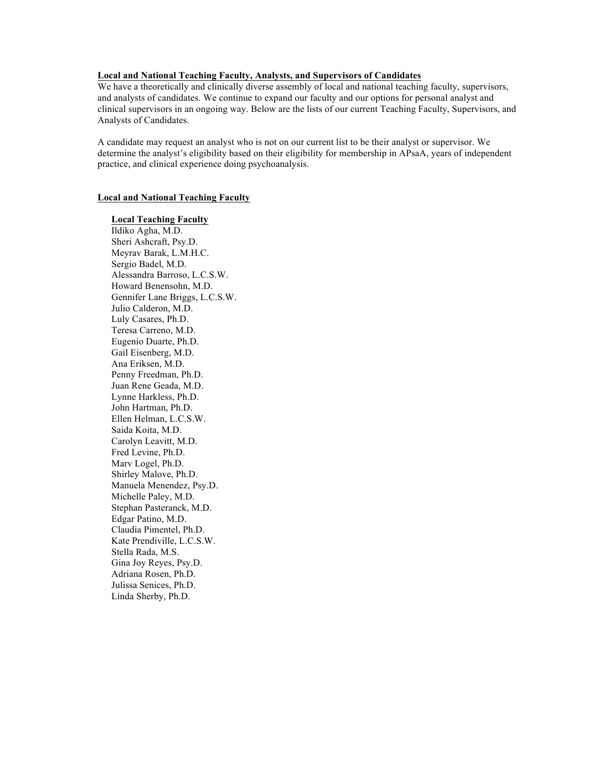# **Local and National Teaching Faculty, Analysts, and Supervisors of Candidates**

We have a theoretically and clinically diverse assembly of local and national teaching faculty, supervisors, and analysts of candidates. We continue to expand our faculty and our options for personal analyst and clinical supervisors in an ongoing way. Below are the lists of our current Teaching Faculty, Supervisors, and Analysts of Candidates.

A candidate may request an analyst who is not on our current list to be their analyst or supervisor. We determine the analyst's eligibility based on their eligibility for membership in APsaA, years of independent practice, and clinical experience doing psychoanalysis.

## **Local and National Teaching Faculty**

### **Local Teaching Faculty**

Ildiko Agha, M.D. Sheri Ashcraft, Psy.D. Meyrav Barak, L.M.H.C. Sergio Badel, M.D. Alessandra Barroso, L.C.S.W. Howard Benensohn, M.D. Gennifer Lane Briggs, L.C.S.W. Julio Calderon, M.D. Luly Casares, Ph.D. Teresa Carreno, M.D. Eugenio Duarte, Ph.D. Gail Eisenberg, M.D. Ana Eriksen, M.D. Penny Freedman, Ph.D. Juan Rene Geada, M.D. Lynne Harkless, Ph.D. John Hartman, Ph.D. Ellen Helman, L.C.S.W. Saida Koita, M.D. Carolyn Leavitt, M.D. Fred Levine, Ph.D. Marv Logel, Ph.D. Shirley Malove, Ph.D. Manuela Menendez, Psy.D. Michelle Paley, M.D. Stephan Pasteranck, M.D. Edgar Patino, M.D. Claudia Pimentel, Ph.D. Kate Prendiville, L.C.S.W. Stella Rada, M.S. Gina Joy Reyes, Psy.D. Adriana Rosen, Ph.D. Julissa Senices, Ph.D. Linda Sherby, Ph.D.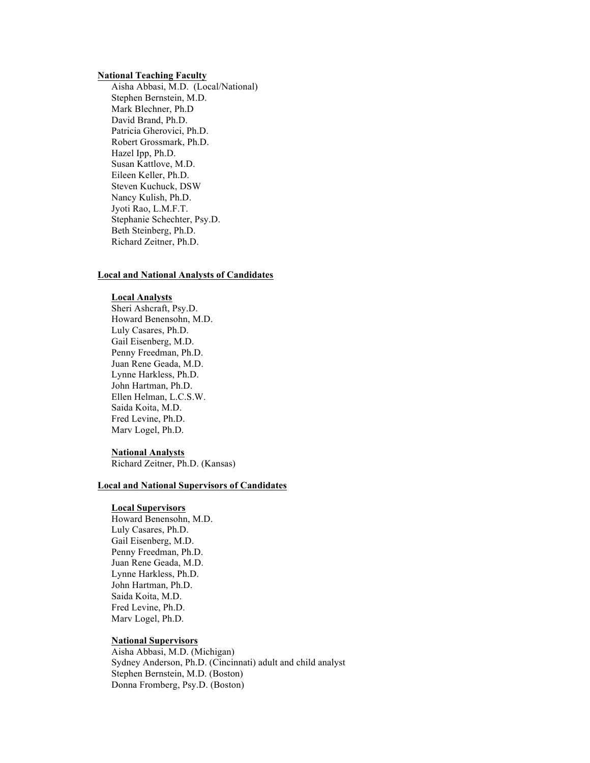### **National Teaching Faculty**

Aisha Abbasi, M.D. (Local/National) Stephen Bernstein, M.D. Mark Blechner, Ph.D David Brand, Ph.D. Patricia Gherovici, Ph.D. Robert Grossmark, Ph.D. Hazel Ipp, Ph.D. Susan Kattlove, M.D. Eileen Keller, Ph.D. Steven Kuchuck, DSW Nancy Kulish, Ph.D. Jyoti Rao, L.M.F.T. Stephanie Schechter, Psy.D. Beth Steinberg, Ph.D. Richard Zeitner, Ph.D.

# **Local and National Analysts of Candidates**

## **Local Analysts**

Sheri Ashcraft, Psy.D. Howard Benensohn, M.D. Luly Casares, Ph.D. Gail Eisenberg, M.D. Penny Freedman, Ph.D. Juan Rene Geada, M.D. Lynne Harkless, Ph.D. John Hartman, Ph.D. Ellen Helman, L.C.S.W. Saida Koita, M.D. Fred Levine, Ph.D. Marv Logel, Ph.D.

### **National Analysts**

Richard Zeitner, Ph.D. (Kansas)

## **Local and National Supervisors of Candidates**

#### **Local Supervisors**

Howard Benensohn, M.D. Luly Casares, Ph.D. Gail Eisenberg, M.D. Penny Freedman, Ph.D. Juan Rene Geada, M.D. Lynne Harkless, Ph.D. John Hartman, Ph.D. Saida Koita, M.D. Fred Levine, Ph.D. Marv Logel, Ph.D.

# **National Supervisors**

Aisha Abbasi, M.D. (Michigan) Sydney Anderson, Ph.D. (Cincinnati) adult and child analyst Stephen Bernstein, M.D. (Boston) Donna Fromberg, Psy.D. (Boston)